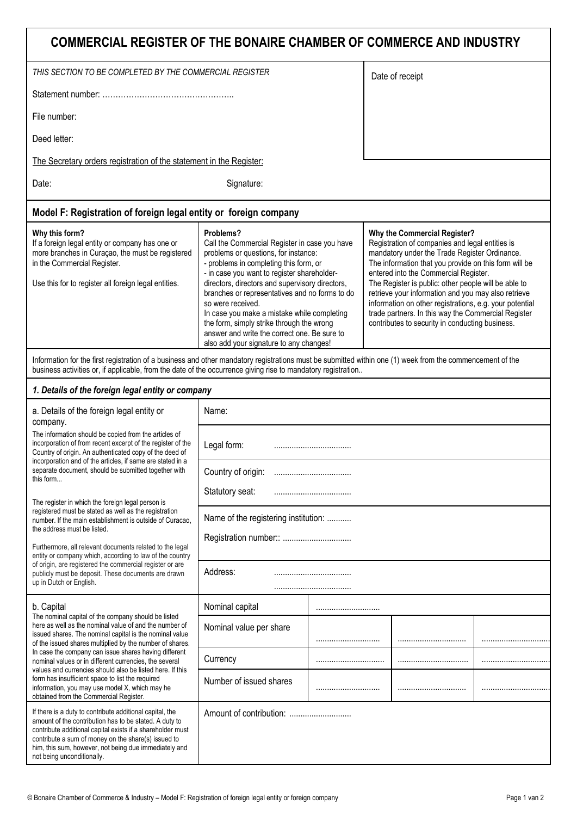## **COMMERCIAL REGISTER OF THE BONAIRE CHAMBER OF COMMERCE AND INDUSTRY**

| THIS SECTION TO BE COMPLETED BY THE COMMERCIAL REGISTER                                                                                                                                                                                                                                                                                                                                                                                                                                                                                                                                                                                                                                                                                                                                                       |                                                                                                                                                                                                                                                                                                                                                                                                                                                                                                              |  | Date of receipt |                                                                                                                                                                                                                                                                                                                                                                                                                                                                                                                        |  |  |
|---------------------------------------------------------------------------------------------------------------------------------------------------------------------------------------------------------------------------------------------------------------------------------------------------------------------------------------------------------------------------------------------------------------------------------------------------------------------------------------------------------------------------------------------------------------------------------------------------------------------------------------------------------------------------------------------------------------------------------------------------------------------------------------------------------------|--------------------------------------------------------------------------------------------------------------------------------------------------------------------------------------------------------------------------------------------------------------------------------------------------------------------------------------------------------------------------------------------------------------------------------------------------------------------------------------------------------------|--|-----------------|------------------------------------------------------------------------------------------------------------------------------------------------------------------------------------------------------------------------------------------------------------------------------------------------------------------------------------------------------------------------------------------------------------------------------------------------------------------------------------------------------------------------|--|--|
|                                                                                                                                                                                                                                                                                                                                                                                                                                                                                                                                                                                                                                                                                                                                                                                                               |                                                                                                                                                                                                                                                                                                                                                                                                                                                                                                              |  |                 |                                                                                                                                                                                                                                                                                                                                                                                                                                                                                                                        |  |  |
| File number:                                                                                                                                                                                                                                                                                                                                                                                                                                                                                                                                                                                                                                                                                                                                                                                                  |                                                                                                                                                                                                                                                                                                                                                                                                                                                                                                              |  |                 |                                                                                                                                                                                                                                                                                                                                                                                                                                                                                                                        |  |  |
| Deed letter:                                                                                                                                                                                                                                                                                                                                                                                                                                                                                                                                                                                                                                                                                                                                                                                                  |                                                                                                                                                                                                                                                                                                                                                                                                                                                                                                              |  |                 |                                                                                                                                                                                                                                                                                                                                                                                                                                                                                                                        |  |  |
| The Secretary orders registration of the statement in the Register:                                                                                                                                                                                                                                                                                                                                                                                                                                                                                                                                                                                                                                                                                                                                           |                                                                                                                                                                                                                                                                                                                                                                                                                                                                                                              |  |                 |                                                                                                                                                                                                                                                                                                                                                                                                                                                                                                                        |  |  |
| Date:                                                                                                                                                                                                                                                                                                                                                                                                                                                                                                                                                                                                                                                                                                                                                                                                         | Signature:                                                                                                                                                                                                                                                                                                                                                                                                                                                                                                   |  |                 |                                                                                                                                                                                                                                                                                                                                                                                                                                                                                                                        |  |  |
| Model F: Registration of foreign legal entity or foreign company                                                                                                                                                                                                                                                                                                                                                                                                                                                                                                                                                                                                                                                                                                                                              |                                                                                                                                                                                                                                                                                                                                                                                                                                                                                                              |  |                 |                                                                                                                                                                                                                                                                                                                                                                                                                                                                                                                        |  |  |
| Why this form?<br>If a foreign legal entity or company has one or<br>more branches in Curaçao, the must be registered<br>in the Commercial Register.<br>Use this for to register all foreign legal entities.                                                                                                                                                                                                                                                                                                                                                                                                                                                                                                                                                                                                  | Problems?<br>Call the Commercial Register in case you have<br>problems or questions, for instance:<br>- problems in completing this form, or<br>- in case you want to register shareholder-<br>directors, directors and supervisory directors,<br>branches or representatives and no forms to do<br>so were received.<br>In case you make a mistake while completing<br>the form, simply strike through the wrong<br>answer and write the correct one. Be sure to<br>also add your signature to any changes! |  |                 | Why the Commercial Register?<br>Registration of companies and legal entities is<br>mandatory under the Trade Register Ordinance.<br>The information that you provide on this form will be<br>entered into the Commercial Register.<br>The Register is public: other people will be able to<br>retrieve your information and you may also retrieve<br>information on other registrations, e.g. your potential<br>trade partners. In this way the Commercial Register<br>contributes to security in conducting business. |  |  |
| Information for the first registration of a business and other mandatory registrations must be submitted within one (1) week from the commencement of the<br>business activities or, if applicable, from the date of the occurrence giving rise to mandatory registration                                                                                                                                                                                                                                                                                                                                                                                                                                                                                                                                     |                                                                                                                                                                                                                                                                                                                                                                                                                                                                                                              |  |                 |                                                                                                                                                                                                                                                                                                                                                                                                                                                                                                                        |  |  |
| 1. Details of the foreign legal entity or company                                                                                                                                                                                                                                                                                                                                                                                                                                                                                                                                                                                                                                                                                                                                                             |                                                                                                                                                                                                                                                                                                                                                                                                                                                                                                              |  |                 |                                                                                                                                                                                                                                                                                                                                                                                                                                                                                                                        |  |  |
| a. Details of the foreign legal entity or                                                                                                                                                                                                                                                                                                                                                                                                                                                                                                                                                                                                                                                                                                                                                                     | Name:                                                                                                                                                                                                                                                                                                                                                                                                                                                                                                        |  |                 |                                                                                                                                                                                                                                                                                                                                                                                                                                                                                                                        |  |  |
| company.<br>The information should be copied from the articles of<br>incorporation of from recent excerpt of the register of the<br>Country of origin. An authenticated copy of the deed of<br>incorporation and of the articles, if same are stated in a<br>separate document, should be submitted together with<br>this form<br>The register in which the foreign legal person is<br>registered must be stated as well as the registration<br>number. If the main establishment is outside of Curacao,<br>the address must be listed.<br>Furthermore, all relevant documents related to the legal<br>entity or company which, according to law of the country<br>of origin, are registered the commercial register or are<br>publicly must be deposit. These documents are drawn<br>up in Dutch or English. | Legal form:                                                                                                                                                                                                                                                                                                                                                                                                                                                                                                  |  |                 |                                                                                                                                                                                                                                                                                                                                                                                                                                                                                                                        |  |  |
|                                                                                                                                                                                                                                                                                                                                                                                                                                                                                                                                                                                                                                                                                                                                                                                                               | Country of origin:                                                                                                                                                                                                                                                                                                                                                                                                                                                                                           |  |                 |                                                                                                                                                                                                                                                                                                                                                                                                                                                                                                                        |  |  |
|                                                                                                                                                                                                                                                                                                                                                                                                                                                                                                                                                                                                                                                                                                                                                                                                               | Statutory seat:                                                                                                                                                                                                                                                                                                                                                                                                                                                                                              |  |                 |                                                                                                                                                                                                                                                                                                                                                                                                                                                                                                                        |  |  |
|                                                                                                                                                                                                                                                                                                                                                                                                                                                                                                                                                                                                                                                                                                                                                                                                               | Name of the registering institution:                                                                                                                                                                                                                                                                                                                                                                                                                                                                         |  |                 |                                                                                                                                                                                                                                                                                                                                                                                                                                                                                                                        |  |  |
|                                                                                                                                                                                                                                                                                                                                                                                                                                                                                                                                                                                                                                                                                                                                                                                                               |                                                                                                                                                                                                                                                                                                                                                                                                                                                                                                              |  |                 |                                                                                                                                                                                                                                                                                                                                                                                                                                                                                                                        |  |  |
|                                                                                                                                                                                                                                                                                                                                                                                                                                                                                                                                                                                                                                                                                                                                                                                                               | Address:                                                                                                                                                                                                                                                                                                                                                                                                                                                                                                     |  |                 |                                                                                                                                                                                                                                                                                                                                                                                                                                                                                                                        |  |  |
| b. Capital<br>The nominal capital of the company should be listed<br>here as well as the nominal value of and the number of<br>issued shares. The nominal capital is the nominal value<br>of the issued shares multiplied by the number of shares.<br>In case the company can issue shares having different<br>nominal values or in different currencies, the several<br>values and currencies should also be listed here. If this<br>form has insufficient space to list the required<br>information, you may use model X, which may he<br>obtained from the Commercial Register.                                                                                                                                                                                                                            | Nominal capital                                                                                                                                                                                                                                                                                                                                                                                                                                                                                              |  |                 |                                                                                                                                                                                                                                                                                                                                                                                                                                                                                                                        |  |  |
|                                                                                                                                                                                                                                                                                                                                                                                                                                                                                                                                                                                                                                                                                                                                                                                                               | Nominal value per share                                                                                                                                                                                                                                                                                                                                                                                                                                                                                      |  |                 |                                                                                                                                                                                                                                                                                                                                                                                                                                                                                                                        |  |  |
|                                                                                                                                                                                                                                                                                                                                                                                                                                                                                                                                                                                                                                                                                                                                                                                                               | Currency                                                                                                                                                                                                                                                                                                                                                                                                                                                                                                     |  |                 |                                                                                                                                                                                                                                                                                                                                                                                                                                                                                                                        |  |  |
|                                                                                                                                                                                                                                                                                                                                                                                                                                                                                                                                                                                                                                                                                                                                                                                                               | Number of issued shares                                                                                                                                                                                                                                                                                                                                                                                                                                                                                      |  |                 |                                                                                                                                                                                                                                                                                                                                                                                                                                                                                                                        |  |  |
| If there is a duty to contribute additional capital, the<br>amount of the contribution has to be stated. A duty to<br>contribute additional capital exists if a shareholder must<br>contribute a sum of money on the share(s) issued to<br>him, this sum, however, not being due immediately and<br>not being unconditionally.                                                                                                                                                                                                                                                                                                                                                                                                                                                                                |                                                                                                                                                                                                                                                                                                                                                                                                                                                                                                              |  |                 |                                                                                                                                                                                                                                                                                                                                                                                                                                                                                                                        |  |  |